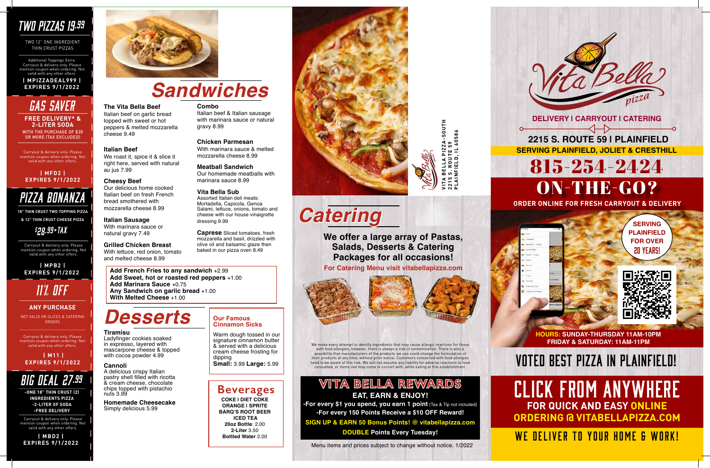**HIND VITA BELLA PIZZA-SOUTH PLAINFIELD, IL 60586 2215 S. ROUTE 59**

> **HOURS: SUNDAY-THURSDAY 11AM-10PM FRIDAY & SATURDAY: 11AM-11PM**



CLICK FROM ANYWHERE **FOR QUICK AND EASY ONLINE ORDERING @ VITABELLAPIZZA.COM**

WE DELIVER TO YOUR HOME & WORK!

# VOTED BEST PIZZA IN PLAINFIELD!

## *TWO PIZZAS 19.99*

TWO 12" ONE INGREDIENT THIN CRUST PIZZAS

Additional Toppings Extra. Carryout & delivery only. Please mention coupon when ordering. Not valid with any other offers. **| MPIZZADEAL999 |** 

# **EXPIRES 9/1/2022** *Sandwiches*

**The Vita Bella Beef** Italian beef on garlic bread topped with sweet or hot peppers & melted mozzarella

cheese 9.49

**Italian Beef**

We roast it, spice it & slice it right here, served with natural

au jus 7.99

**Cheesy Beef**

Our delicious home cooked Italian beef on fresh French bread smothered with mozzarella cheese 8.99

**Italian Sausage** With marinara sauce or natural gravy 7.49

**Grilled Chicken Breast** With lettuce, red onion, tomato and melted cheese 8.99

### **Combo**

**-For every \$1 you spend, you earn 1 point** (Tax & Tip not included) **-For every 150 Points Receive a \$10 OFF Reward!**

Italian beef & Italian sausage with marinara sauce or natural gravy 8.99

### **Chicken Parmesan**

With marinara sauce & melted mozzarella cheese 8.99

WITH THE PURCHASE OF \$30 OR MORE (TAX EXCLUDED) **FREE DELIVERY\* & 2-LITER SODA**

> **Meatball Sandwich** Our homemade meatballs with marinara sauce 8.99

### **Vita Bella Sub**

Assorted Italian deli meats: Mortadella, Capicola, Genoa Salami, lettuce, onions, tomato and cheese with our house vinaigrette dressing 9.99

**Caprese** Sliced tomatoes, fresh mozzarella and basil, drizzled with olive oil and balsamic glaze then baked in our pizza oven 8.49

**Add French Fries to any sandwich** +2.99 **Add Sweet, hot or roasted red peppers** +1.00 **Add Marinara Sauce** +0.75 **Any Sandwich on garlic bread** +1.00 **With Melted Cheese** +1.00

# *Desserts*

### **Tiramisu**

Ladyfinger cookies soaked in expresso, layered with mascarpone cheese & topped with cocoa powder 4.99

### **Cannoli**

A delicious crispy Italian pastry shell filled with ricotta & cream cheese, chocolate chips topped with pistachio nuts 3.99

**Homemade Cheesecake**  Simply delicious 5.99

### **Beverages**

**COKE | DIET COKE ORANGE | SPRITE BARQ'S ROOT BEER ICED TEA 20oz Bottle**: 2.00 **2-Liter** 3.50 **Bottled Water** 2.00





## **VITA BELLA REWARDS EAT, EARN & ENJOY!**

**SIGN UP & EARN 50 Bonus Points! @ vitabellapizza.com DOUBLE Points Every Tuesday!** 

Menu items and prices subject to change without notice. 1/2022

Carryout & delivery only. Please mention coupon when ordering. Not valid with any other offers.

# *GAS SAVER*

### **| MFD2 | EXPIRES 9/1/2022**

## *PIZZA BONANZA*

**18" THIN CRUST TWO TOPPING PIZZA** 

**& 12" THIN CRUST CHEESE PIZZA**

## *\$ 28.99+TAX*

Carryout & delivery only. Please mention coupon when ordering. Not valid with any other offers.

 **| MPB2 | EXPIRES 9/1/2022**

 **| M11 | EXPIRES 9/1/2022**

Carryout & delivery only. Please  $\mathop{\mathsf{roupon}}$  when ordering. Not  $\blacksquare$ valid with any other offers.

# *11% OFF*

NOT VALID ON SLICES & CATERING ORDERS

### **ANY PURCHASE**



**-ONE 18" THIN CRUST (2) INGREDIENTS PIZZA -2-LITER OF SODA -FREE DELIVERY**

Carryout & delivery only. Please mention coupon when ordering. Not valid with any other offers.

**| MBD2 | EXPIRES 9/1/2022**



### **Our Famous Cinnamon Sicks**

Warm dough tossed in our signature cinnamon butter & served with a delicious cream cheese frosting for dipping **Small:** 3.99 **Large:** 5.99

# *Catering*

**We offer a large array of Pastas, Salads, Desserts & Catering Packages for all occasions!** 

**For Catering Menu visit vitabellapizza.com**



We make every attempt to identify ingredients that may cause allergic reactions for those with food allergies; however, there is always a risk of contamination. There is also a possibility that manufacturers of the products we use could change the formulation of their products at any time, without prior notice. Customers concerned with food allergies need to be aware of this risk. We will not assume any liability for adverse reactions to food consumed, or items one may come in contact with, while eating at this establishment.